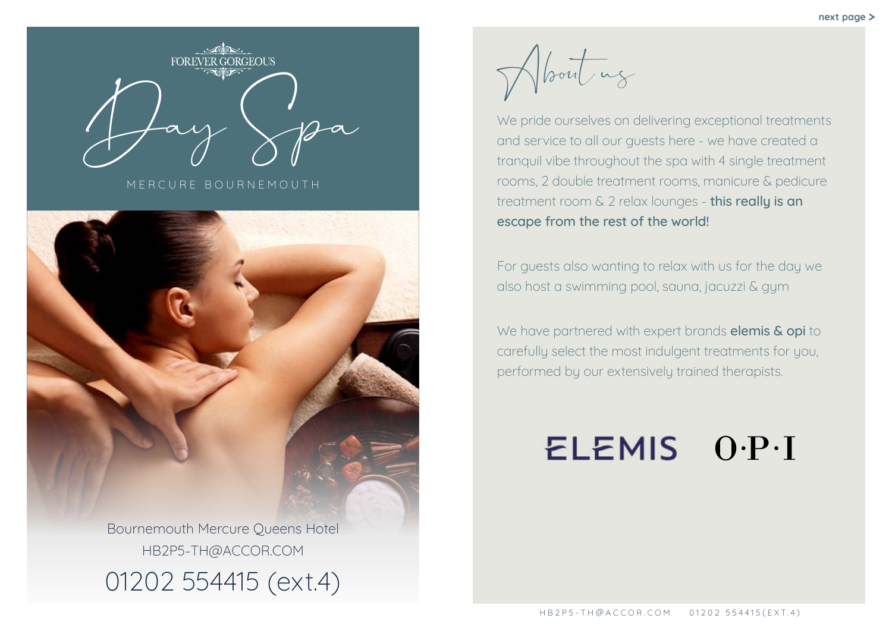About us

We pride ourselves on delivering exceptional treatments and service to all our guests here - we have created a tranquil vibe throughout the spa with 4 single treatment rooms, 2 double treatment rooms, manicure & pedicure treatment room & 2 relax lounges - this really is an escape from the rest of the world!

We have partnered with expert brands **elemis & opi** to carefully select the most indulgent treatments for you, performed by our extensively trained therapists.

# ELEMIS O.P.I

**RGEOUS** Day Spa

For guests also wanting to relax with us for the day we also host a swimming pool, sauna, jacuzzi & gym

MERCURE BOURNEMOUTH



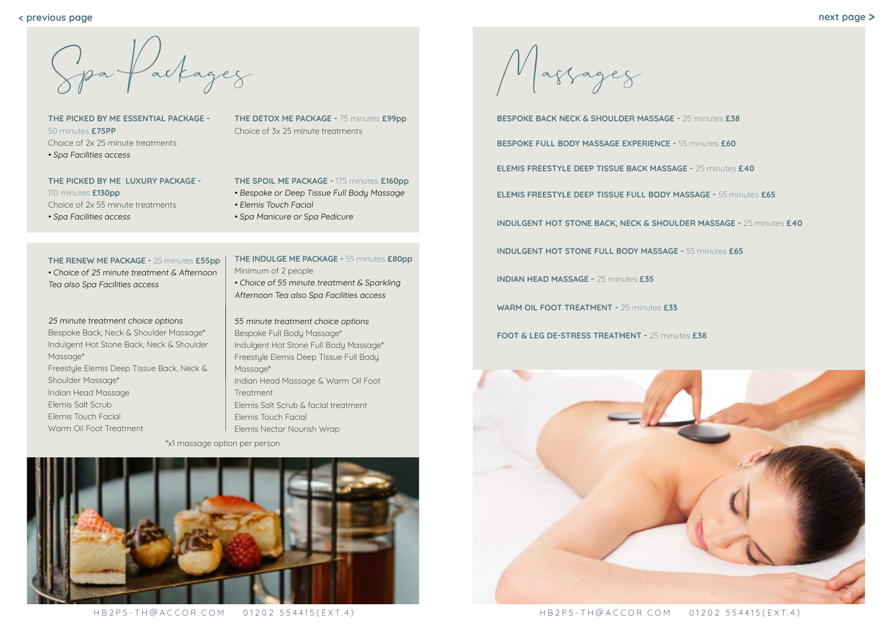HB2P5-TH@ACCOR.COM 01202 554415(EXT.4) HB2P5-TH@ACCOR.COM 01202 554415(EXT.4)

Massages

**BESPOKE BACK NECK & SHOULDER MASSAGE -** 25 minutes **£38 BESPOKE FULL BODY MASSAGE EXPERIENCE -** 55 minutes **£60 ELEMIS FREESTYLE DEEP TISSUE BACK MASSAGE -** 25 minutes **£40 ELEMIS FREESTYLE DEEP TISSUE FULL BODY MASSAGE -** 55 minutes **£65 INDULGENT HOT STONE BACK, NECK & SHOULDER MASSAGE -** 25 minutes **£40 INDULGENT HOT STONE FULL BODY MASSAGE -** 55 minutes **£65 INDIAN HEAD MASSAGE -** 25 minutes **£35 WARM OIL FOOT TREATMENT -** 25 minutes **£33 FOOT & LEG DE-STRESS TREATMENT -** 25 minutes **£38**



**< previous page**

Spa Packages

**THE PICKED BY ME ESSENTIAL PACKAGE -**  50 minutes **£75PP** Choice of 2x 25 minute treatments • Spa Facilities access

### **THE PICKED BY ME LUXURY PACKAGE -**

110 minutes **£130pp** Choice of 2x 55 minute treatments • Spa Facilities access

### **THE RENEW ME PACKAGE -** 25 minutes **£55pp**

• Choice of 25 minute treatment & Afternoon Tea also Spa Facilities access

### 25 minute treatment choice options

Bespoke Back, Neck & Shoulder Massage\* Indulgent Hot Stone Back, Neck & Shoulder Massage\* Freestyle Elemis Deep Tissue Back, Neck & Shoulder Massage\* Indian Head Massage Elemis Salt Scrub Elemis Touch Facial Warm Oil Foot Treatment

**THE INDULGE ME PACKAGE -** 55 minutes **£80pp** Minimum of 2 people

• Choice of 55 minute treatment & Sparkling Afternoon Tea also Spa Facilities access

55 minute treatment choice options Bespoke Full Body Massage\* Indulgent Hot Stone Full Body Massage\* Freestyle Elemis Deep Tissue Full Body Massage\* Indian Head Massage & Warm Oil Foot Treatment Elemis Salt Scrub & facial treatment Elemis Touch Facial Elemis Nectar Nourish Wrap

# **THE DETOX ME PACKAGE -** 75 minutes **£99pp** Choice of 3x 25 minute treatments

# **THE SPOIL ME PACKAGE -** 175 minutes **£160pp**

- Bespoke or Deep Tissue Full Body Massage
- Elemis Touch Facial
- Spa Manicure or Spa Pedicure
- 
- 
- 
- 
- 
- 

\*x1 massage option per person

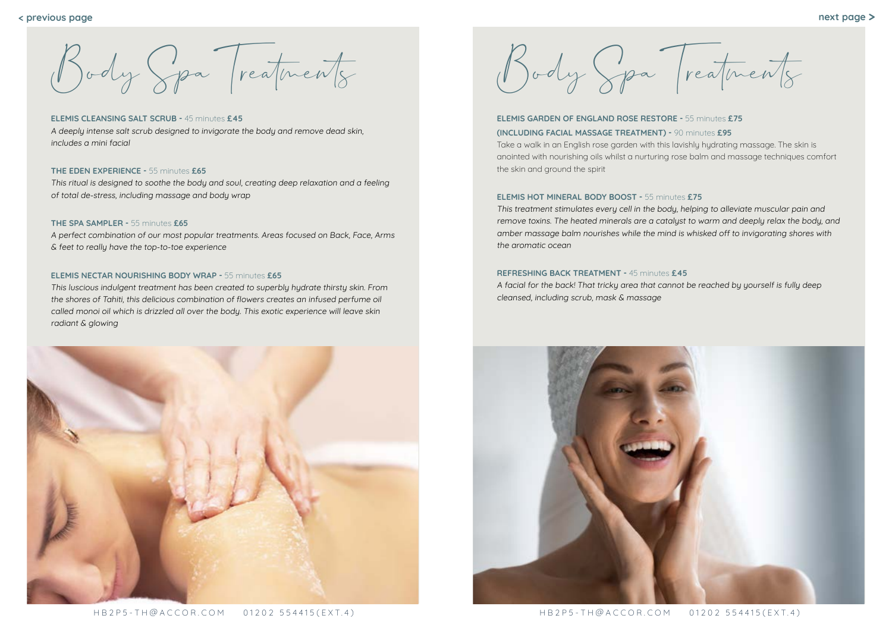Body Spa Treatments

# **ELEMIS GARDEN OF ENGLAND ROSE RESTORE -** 55 minutes **£75 (INCLUDING FACIAL MASSAGE TREATMENT) -** 90 minutes **£95**

Take a walk in an English rose garden with this lavishly hydrating massage. The skin is anointed with nourishing oils whilst a nurturing rose balm and massage techniques comfort the skin and ground the spirit

# **ELEMIS HOT MINERAL BODY BOOST -** 55 minutes **£75**  This treatment stimulates every cell in the body, helping to alleviate muscular pain and remove toxins. The heated minerals are a catalyst to warm and deeply relax the body, and amber massage balm nourishes while the mind is whisked off to invigorating shores with the aromatic ocean

# **REFRESHING BACK TREATMENT -** 45 minutes **£45** A facial for the back! That tricky area that cannot be reached by yourself is fully deep cleansed, including scrub, mask & massage



# **ELEMIS CLEANSING SALT SCRUB -** 45 minutes **£45**

A deeply intense salt scrub designed to invigorate the body and remove dead skin, includes a mini facial

# **THE EDEN EXPERIENCE -** 55 minutes **£65**

This ritual is designed to soothe the body and soul, creating deep relaxation and a feeling of total de-stress, including massage and body wrap

## **THE SPA SAMPLER -** 55 minutes **£65**

A perfect combination of our most popular treatments. Areas focused on Back, Face, Arms & feet to really have the top-to-toe experience

# **ELEMIS NECTAR NOURISHING BODY WRAP -** 55 minutes **£65**

This luscious indulgent treatment has been created to superbly hydrate thirsty skin. From the shores of Tahiti, this delicious combination of flowers creates an infused perfume oil called monoi oil which is drizzled all over the body. This exotic experience will leave skin radiant & glowing



Body Spa Treatments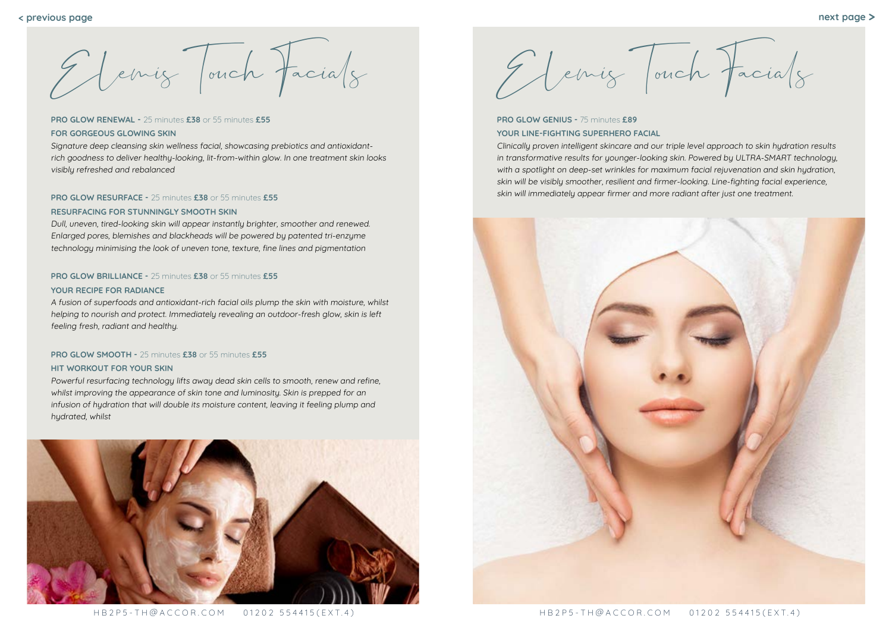HB2P5-TH@ACCOR.COM 01202 554415(EXT.4) HB2P5-TH@ACCOR.COM 01202 554415(EXT.4)

Elemis Touch Facials

**PRO GLOW GENIUS -** 75 minutes **£89 YOUR LINE-FIGHTING SUPERHERO FACIAL**

Clinically proven intelligent skincare and our triple level approach to skin hydration results in transformative results for younger-looking skin. Powered by ULTRA-SMART technology, with a spotlight on deep-set wrinkles for maximum facial rejuvenation and skin hydration, skin will be visibly smoother, resilient and firmer-looking. Line-fighting facial experience, skin will immediately appear firmer and more radiant after just one treatment.



# **PRO GLOW RENEWAL -** 25 minutes **£38** or 55 minutes **£55 FOR GORGEOUS GLOWING SKIN**

Signature deep cleansing skin wellness facial, showcasing prebiotics and antioxidantrich goodness to deliver healthy-looking, lit-from-within glow. In one treatment skin looks visibly refreshed and rebalanced

# **PRO GLOW RESURFACE -** 25 minutes **£38** or 55 minutes **£55**

# **RESURFACING FOR STUNNINGLY SMOOTH SKIN**

Dull, uneven, tired-looking skin will appear instantly brighter, smoother and renewed. Enlarged pores, blemishes and blackheads will be powered by patented tri-enzyme technology minimising the look of uneven tone, texture, fine lines and pigmentation

# **PRO GLOW BRILLIANCE -** 25 minutes **£38** or 55 minutes **£55**

## **YOUR RECIPE FOR RADIANCE**

A fusion of superfoods and antioxidant-rich facial oils plump the skin with moisture, whilst helping to nourish and protect. Immediately revealing an outdoor-fresh glow, skin is left feeling fresh, radiant and healthy.

# **PRO GLOW SMOOTH -** 25 minutes **£38** or 55 minutes **£55**

# **HIT WORKOUT FOR YOUR SKIN**

Powerful resurfacing technology lifts away dead skin cells to smooth, renew and refine, whilst improving the appearance of skin tone and luminosity. Skin is prepped for an infusion of hydration that will double its moisture content, leaving it feeling plump and hydrated, whilst



El emig Jouch Facials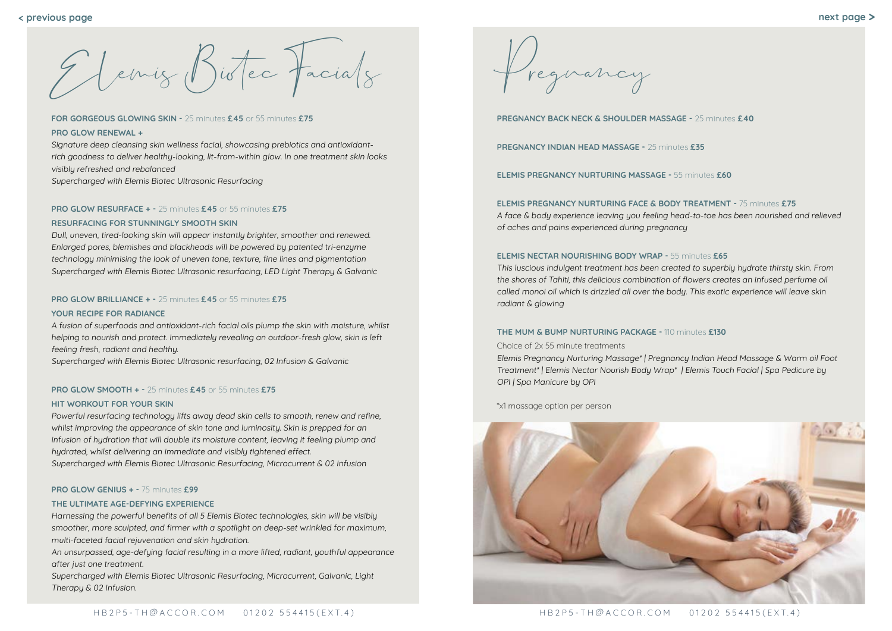Pregnancy

**PREGNANCY BACK NECK & SHOULDER MASSAGE -** 25 minutes **£40**

**PREGNANCY INDIAN HEAD MASSAGE -** 25 minutes **£35**

**ELEMIS PREGNANCY NURTURING MASSAGE -** 55 minutes **£60**

**ELEMIS PREGNANCY NURTURING FACE & BODY TREATMENT -** 75 minutes **£75** A face & body experience leaving you feeling head-to-toe has been nourished and relieved of aches and pains experienced during pregnancy

# **ELEMIS NECTAR NOURISHING BODY WRAP -** 55 minutes **£65**

This luscious indulgent treatment has been created to superbly hydrate thirsty skin. From the shores of Tahiti, this delicious combination of flowers creates an infused perfume oil called monoi oil which is drizzled all over the body. This exotic experience will leave skin radiant & glowing

# **THE MUM & BUMP NURTURING PACKAGE -** 110 minutes **£130**

Choice of 2x 55 minute treatments Elemis Pregnancy Nurturing Massage\* | Pregnancy Indian Head Massage & Warm oil Foot Treatment\* | Elemis Nectar Nourish Body Wrap\* | Elemis Touch Facial | Spa Pedicure by OPI | Spa Manicure by OPI

\*x1 massage option per person



Elemis Biotec Facials

**FOR GORGEOUS GLOWING SKIN -** 25 minutes **£45** or 55 minutes **£75 PRO GLOW RENEWAL +**

Signature deep cleansing skin wellness facial, showcasing prebiotics and antioxidantrich goodness to deliver healthy-looking, lit-from-within glow. In one treatment skin looks visibly refreshed and rebalanced

Supercharged with Elemis Biotec Ultrasonic Resurfacing

# **PRO GLOW RESURFACE + -** 25 minutes **£45** or 55 minutes **£75**

# **RESURFACING FOR STUNNINGLY SMOOTH SKIN**

Dull, uneven, tired-looking skin will appear instantly brighter, smoother and renewed. Enlarged pores, blemishes and blackheads will be powered by patented tri-enzyme technology minimising the look of uneven tone, texture, fine lines and pigmentation Supercharged with Elemis Biotec Ultrasonic resurfacing, LED Light Therapy & Galvanic

# **PRO GLOW BRILLIANCE + -** 25 minutes **£45** or 55 minutes **£75**

### **YOUR RECIPE FOR RADIANCE**

A fusion of superfoods and antioxidant-rich facial oils plump the skin with moisture, whilst helping to nourish and protect. Immediately revealing an outdoor-fresh glow, skin is left feeling fresh, radiant and healthy.

Supercharged with Elemis Biotec Ultrasonic resurfacing, 02 Infusion & Galvanic

# **PRO GLOW SMOOTH + -** 25 minutes **£45** or 55 minutes **£75**

# **HIT WORKOUT FOR YOUR SKIN**

Powerful resurfacing technology lifts away dead skin cells to smooth, renew and refine, whilst improving the appearance of skin tone and luminosity. Skin is prepped for an infusion of hydration that will double its moisture content, leaving it feeling plump and hydrated, whilst delivering an immediate and visibly tightened effect. Supercharged with Elemis Biotec Ultrasonic Resurfacing, Microcurrent & 02 Infusion

### **PRO GLOW GENIUS + -** 75 minutes **£99**

### **THE ULTIMATE AGE-DEFYING EXPERIENCE**

Harnessing the powerful benefits of all 5 Elemis Biotec technologies, skin will be visibly smoother, more sculpted, and firmer with a spotlight on deep-set wrinkled for maximum, multi-faceted facial rejuvenation and skin hydration.

An unsurpassed, age-defying facial resulting in a more lifted, radiant, youthful appearance after just one treatment.

Supercharged with Elemis Biotec Ultrasonic Resurfacing, Microcurrent, Galvanic, Light Therapy & 02 Infusion.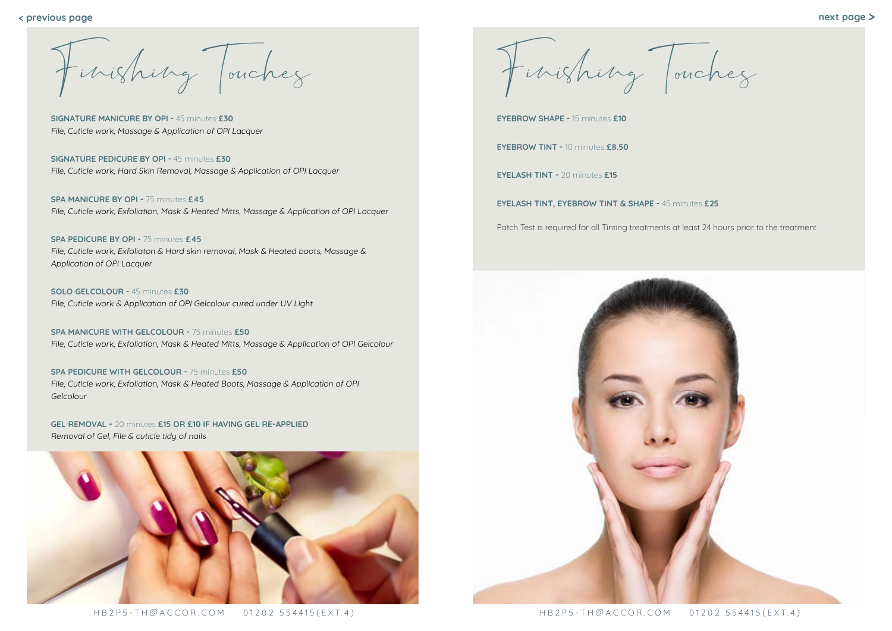

HB2P5-TH@ACCOR.COM 01202 554415(EXT.4) HB2P5-TH@ACCOR.COM 01202 554415(EXT.4)

F inishing Touches

**EYEBROW SHAPE -** 15 minutes **£10**

**EYEBROW TINT -** 10 minutes **£8.50**

**EYELASH TINT -** 20 minutes **£15**

**EYELASH TINT, EYEBROW TINT & SHAPE -** 45 minutes **£25**

Patch Test is required for all Tinting treatments at least 24 hours prior to the treatment



F inishing Touches

**SIGNATURE MANICURE BY OPI -** 45 minutes **£30** File, Cuticle work, Massage & Application of OPI Lacquer

**SIGNATURE PEDICURE BY OPI -** 45 minutes **£30** File, Cuticle work, Hard Skin Removal, Massage & Application of OPI Lacquer

**SPA MANICURE BY OPI -** 75 minutes **£45** File, Cuticle work, Exfoliation, Mask & Heated Mitts, Massage & Application of OPI Lacquer

**SPA PEDICURE BY OPI -** 75 minutes **£45** File, Cuticle work, Exfoliaton & Hard skin removal, Mask & Heated boots, Massage & Application of OPI Lacquer

**SOLO GELCOLOUR -** 45 minutes **£30** File, Cuticle work & Application of OPI Gelcolour cured under UV Light

**SPA MANICURE WITH GELCOLOUR -** 75 minutes **£50** File, Cuticle work, Exfoliation, Mask & Heated Mitts, Massage & Application of OPI Gelcolour

**SPA PEDICURE WITH GELCOLOUR -** 75 minutes **£50** File, Cuticle work, Exfoliation, Mask & Heated Boots, Massage & Application of OPI Gelcolour

**GEL REMOVAL -** 20 minutes **£15 OR £10 IF HAVING GEL RE-APPLIED** Removal of Gel, File & cuticle tidy of nails

**< previous page next page >**